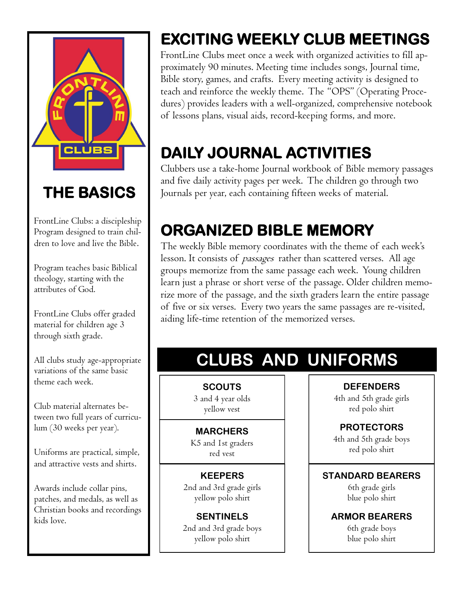

## **THE BASICS**

FrontLine Clubs: a discipleship Program designed to train children to love and live the Bible.

Program teaches basic Biblical theology, starting with the attributes of God.

FrontLine Clubs offer graded material for children age 3 through sixth grade.

All clubs study age-appropriate variations of the same basic theme each week.

Club material alternates between two full years of curriculum (30 weeks per year).

Uniforms are practical, simple, and attractive vests and shirts.

Awards include collar pins, patches, and medals, as well as Christian books and recordings kids love.

# **EXCITING WEEKLY CLUB MEETINGS**

FrontLine Clubs meet once a week with organized activities to fill approximately 90 minutes. Meeting time includes songs, Journal time, Bible story, games, and crafts. Every meeting activity is designed to teach and reinforce the weekly theme. The "OPS" (Operating Procedures) provides leaders with a well-organized, comprehensive notebook of lessons plans, visual aids, record-keeping forms, and more.

# **DAILY JOURNAL ACTIVITIES**

Clubbers use a take-home Journal workbook of Bible memory passages and five daily activity pages per week. The children go through two Journals per year, each containing fifteen weeks of material.

## **ORGANIZED BIBLE MEMORY**

The weekly Bible memory coordinates with the theme of each week's lesson. It consists of *passages* rather than scattered verses. All age groups memorize from the same passage each week. Young children learn just a phrase or short verse of the passage. Older children memorize more of the passage, and the sixth graders learn the entire passage of five or six verses. Every two years the same passages are re-visited, aiding life-time retention of the memorized verses.

# **CLUBS AND UNIFORMS**

**SCOUTS** 3 and 4 year olds yellow vest

### **MARCHERS**

K5 and 1st graders red vest

### **KEEPERS**

2nd and 3rd grade girls yellow polo shirt

**SENTINELS** 2nd and 3rd grade boys yellow polo shirt

**DEFENDERS**

4th and 5th grade girls red polo shirt

## **PROTECTORS**

4th and 5th grade boys red polo shirt

### **STANDARD BEARERS**

6th grade girls blue polo shirt

### **ARMOR BEARERS**

6th grade boys blue polo shirt